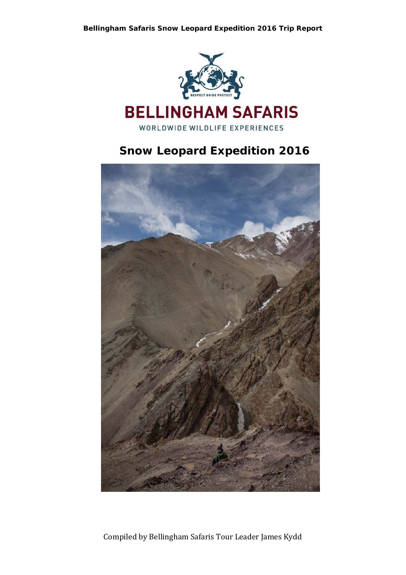

## **Snow Leopard Expedition 2016**

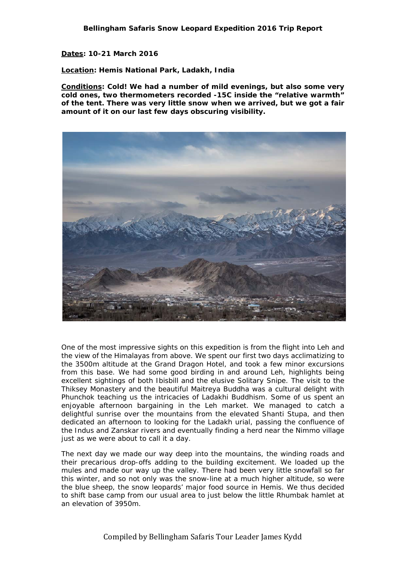**Dates: 10-21 March 2016** 

**Location: Hemis National Park, Ladakh, India** 

**Conditions: Cold! We had a number of mild evenings, but also some very cold ones, two thermometers recorded -15C inside the "relative warmth" of the tent. There was very little snow when we arrived, but we got a fair amount of it on our last few days obscuring visibility.** 



One of the most impressive sights on this expedition is from the flight into Leh and the view of the Himalayas from above. We spent our first two days acclimatizing to the 3500m altitude at the Grand Dragon Hotel, and took a few minor excursions from this base. We had some good birding in and around Leh, highlights being excellent sightings of both Ibisbill and the elusive Solitary Snipe. The visit to the Thiksey Monastery and the beautiful Maitreya Buddha was a cultural delight with Phunchok teaching us the intricacies of Ladakhi Buddhism. Some of us spent an enjoyable afternoon bargaining in the Leh market. We managed to catch a delightful sunrise over the mountains from the elevated Shanti Stupa, and then dedicated an afternoon to looking for the Ladakh urial, passing the confluence of the Indus and Zanskar rivers and eventually finding a herd near the Nimmo village just as we were about to call it a day.

The next day we made our way deep into the mountains, the winding roads and their precarious drop-offs adding to the building excitement. We loaded up the mules and made our way up the valley. There had been very little snowfall so far this winter, and so not only was the snow-line at a much higher altitude, so were the blue sheep, the snow leopards' major food source in Hemis. We thus decided to shift base camp from our usual area to just below the little Rhumbak hamlet at an elevation of 3950m.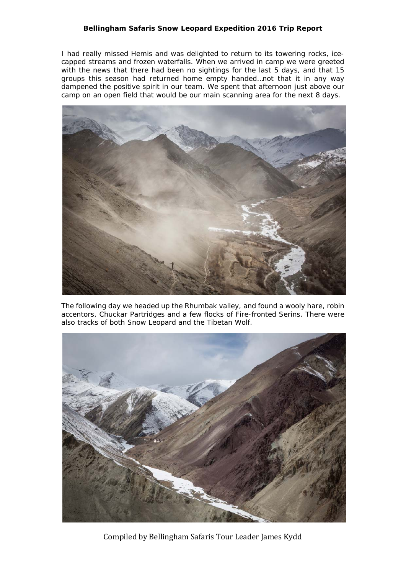I had really missed Hemis and was delighted to return to its towering rocks, icecapped streams and frozen waterfalls. When we arrived in camp we were greeted with the news that there had been no sightings for the last 5 days, and that 15 groups this season had returned home empty handed…not that it in any way dampened the positive spirit in our team. We spent that afternoon just above our camp on an open field that would be our main scanning area for the next 8 days.



The following day we headed up the Rhumbak valley, and found a wooly hare, robin accentors, Chuckar Partridges and a few flocks of Fire-fronted Serins. There were also tracks of both Snow Leopard and the Tibetan Wolf.



Compiled by Bellingham Safaris Tour Leader James Kydd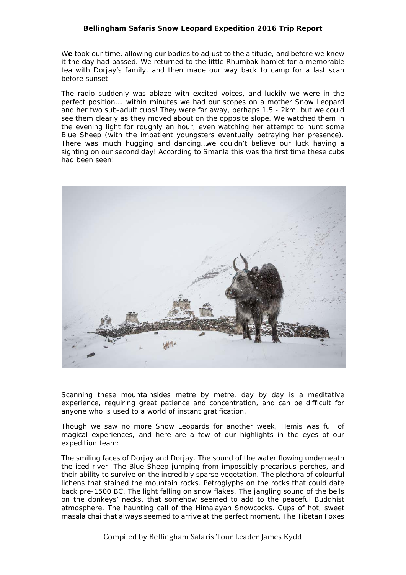W**e** took our time, allowing our bodies to adjust to the altitude, and before we knew it the day had passed. We returned to the little Rhumbak hamlet for a memorable tea with Dorjay's family, and then made our way back to camp for a last scan before sunset.

The radio suddenly was ablaze with excited voices, and luckily we were in the perfect position…. within minutes we had our scopes on a mother Snow Leopard and her two sub-adult cubs! They were far away, perhaps 1.5 - 2km, but we could see them clearly as they moved about on the opposite slope. We watched them in the evening light for roughly an hour, even watching her attempt to hunt some Blue Sheep (with the impatient youngsters eventually betraying her presence). There was much hugging and dancing…we couldn't believe our luck having a sighting on our second day! According to Smanla this was the first time these cubs had been seen!



Scanning these mountainsides metre by metre, day by day is a meditative experience, requiring great patience and concentration, and can be difficult for anyone who is used to a world of instant gratification.

Though we saw no more Snow Leopards for another week, Hemis was full of magical experiences, and here are a few of our highlights in the eyes of our expedition team:

The smiling faces of Dorjay and Dorjay. The sound of the water flowing underneath the iced river. The Blue Sheep jumping from impossibly precarious perches, and their ability to survive on the incredibly sparse vegetation. The plethora of colourful lichens that stained the mountain rocks. Petroglyphs on the rocks that could date back pre-1500 BC. The light falling on snow flakes. The jangling sound of the bells on the donkeys' necks, that somehow seemed to add to the peaceful Buddhist atmosphere. The haunting call of the Himalayan Snowcocks. Cups of hot, sweet masala chai that always seemed to arrive at the perfect moment. The Tibetan Foxes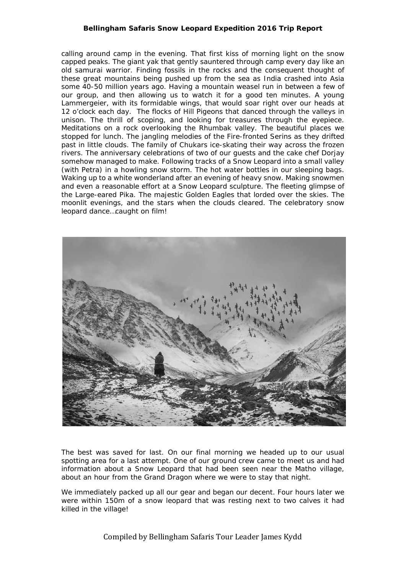calling around camp in the evening. That first kiss of morning light on the snow capped peaks. The giant yak that gently sauntered through camp every day like an old samurai warrior. Finding fossils in the rocks and the consequent thought of these great mountains being pushed up from the sea as India crashed into Asia some 40-50 million years ago. Having a mountain weasel run in between a few of our group, and then allowing us to watch it for a good ten minutes. A young Lammergeier, with its formidable wings, that would soar right over our heads at 12 o'clock each day. The flocks of Hill Pigeons that danced through the valleys in unison. The thrill of scoping, and looking for treasures through the eyepiece. Meditations on a rock overlooking the Rhumbak valley. The beautiful places we stopped for lunch. The jangling melodies of the Fire-fronted Serins as they drifted past in little clouds. The family of Chukars ice-skating their way across the frozen rivers. The anniversary celebrations of two of our guests and the cake chef Dorjay somehow managed to make. Following tracks of a Snow Leopard into a small valley (with Petra) in a howling snow storm. The hot water bottles in our sleeping bags. Waking up to a white wonderland after an evening of heavy snow. Making snowmen and even a reasonable effort at a Snow Leopard sculpture. The fleeting glimpse of the Large-eared Pika. The majestic Golden Eagles that lorded over the skies. The moonlit evenings, and the stars when the clouds cleared. The celebratory snow leopard dance…caught on film!



The best was saved for last. On our final morning we headed up to our usual spotting area for a last attempt. One of our ground crew came to meet us and had information about a Snow Leopard that had been seen near the Matho village, about an hour from the Grand Dragon where we were to stay that night.

We immediately packed up all our gear and began our decent. Four hours later we were within 150m of a snow leopard that was resting next to two calves it had killed in the village!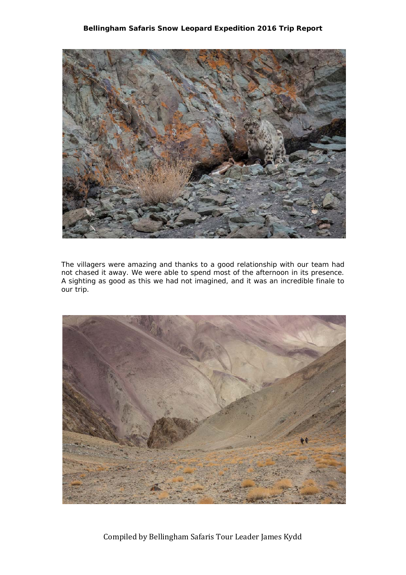

The villagers were amazing and thanks to a good relationship with our team had not chased it away. We were able to spend most of the afternoon in its presence. A sighting as good as this we had not imagined, and it was an incredible finale to our trip.

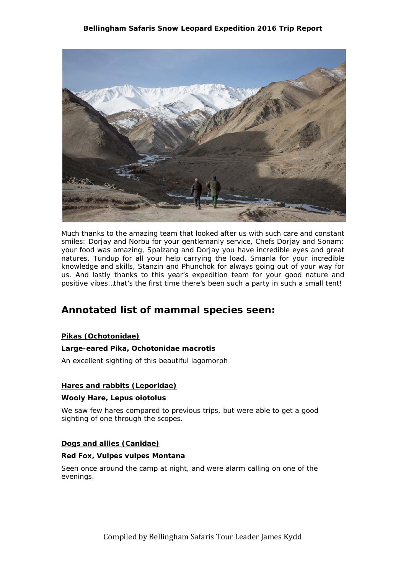

Much thanks to the amazing team that looked after us with such care and constant smiles: Dorjay and Norbu for your gentlemanly service, Chefs Dorjay and Sonam: your food was amazing, Spalzang and Dorjay you have incredible eyes and great natures, Tundup for all your help carrying the load, Smanla for your incredible knowledge and skills, Stanzin and Phunchok for always going out of your way for us. And lastly thanks to this year's expedition team for your good nature and positive vibes…that's the first time there's been such a party in such a small tent!

## **Annotated list of mammal species seen:**

#### **Pikas (Ochotonidae)**

#### **Large-eared Pika,** *Ochotonidae macrotis*

An excellent sighting of this beautiful lagomorph

#### **Hares and rabbits (Leporidae)**

#### **Wooly Hare***, Lepus oiotolus*

We saw few hares compared to previous trips, but were able to get a good sighting of one through the scopes.

#### **Dogs and allies (Canidae)**

#### **Red Fox,** *Vulpes vulpes Montana*

Seen once around the camp at night, and were alarm calling on one of the evenings.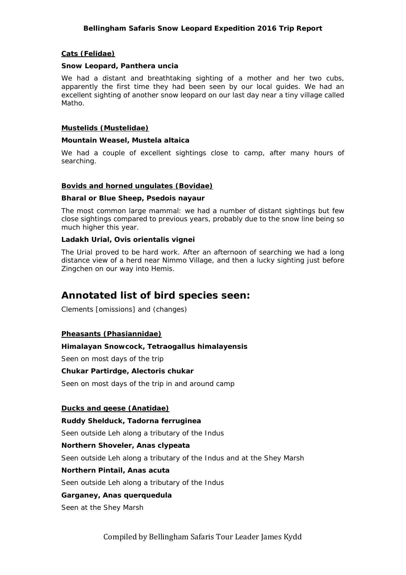#### **Cats (Felidae)**

#### **Snow Leopard,** *Panthera uncia*

We had a distant and breathtaking sighting of a mother and her two cubs, apparently the first time they had been seen by our local guides. We had an excellent sighting of another snow leopard on our last day near a tiny village called Matho.

#### **Mustelids (Mustelidae)**

#### **Mountain Weasel,** *Mustela altaica*

We had a couple of excellent sightings close to camp, after many hours of searching.

#### **Bovids and horned ungulates (Bovidae)**

#### **Bharal or Blue Sheep,** *Psedois nayaur*

The most common large mammal: we had a number of distant sightings but few close sightings compared to previous years, probably due to the snow line being so much higher this year.

#### **Ladakh Urial,** *Ovis orientalis vignei*

The Urial proved to be hard work. After an afternoon of searching we had a long distance view of a herd near Nimmo Village, and then a lucky sighting just before Zingchen on our way into Hemis.

## **Annotated list of bird species seen:**

Clements [omissions] and (changes)

#### **Pheasants (Phasiannidae)**

#### **Himalayan Snowcock,** *Tetraogallus himalayensis*

Seen on most days of the trip

#### **Chukar Partirdge,** *Alectoris chukar*

Seen on most days of the trip in and around camp

#### **Ducks and geese (Anatidae)**

#### **Ruddy Shelduck,** *Tadorna ferruginea*

Seen outside Leh along a tributary of the Indus

#### **Northern Shoveler,** *Anas clypeata*

Seen outside Leh along a tributary of the Indus and at the Shey Marsh

#### **Northern Pintail,** *Anas acuta*

Seen outside Leh along a tributary of the Indus

#### **Garganey,** *Anas querquedula*

Seen at the Shey Marsh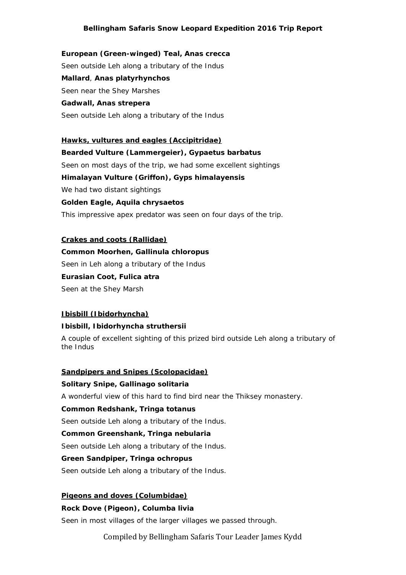**European (Green-winged) Teal,** *Anas crecca*  Seen outside Leh along a tributary of the Indus **Mallard**, **Anas platyrhynchos** Seen near the Shey Marshes **Gadwall, Anas strepera**  Seen outside Leh along a tributary of the Indus

**Hawks, vultures and eagles (Accipitridae) Bearded Vulture (Lammergeier),** *Gypaetus barbatus* Seen on most days of the trip, we had some excellent sightings **Himalayan Vulture (Griffon),** *Gyps himalayensis* We had two distant sightings **Golden Eagle,** *Aquila chrysaetos* This impressive apex predator was seen on four days of the trip.

#### **Crakes and coots (Rallidae)**

#### **Common Moorhen,** *Gallinula chloropus*

Seen in Leh along a tributary of the Indus

# **Eurasian Coot,** *Fulica atra*

Seen at the Shey Marsh

#### **Ibisbill (Ibidorhyncha)**

#### **Ibisbill,** *Ibidorhyncha struthersii*

A couple of excellent sighting of this prized bird outside Leh along a tributary of the Indus

#### **Sandpipers and Snipes (Scolopacidae)**

#### **Solitary Snipe,** *Gallinago solitaria*

A wonderful view of this hard to find bird near the Thiksey monastery.

#### **Common Redshank,** *Tringa totanus*

Seen outside Leh along a tributary of the Indus.

#### **Common Greenshank,** *Tringa nebularia*

Seen outside Leh along a tributary of the Indus.

#### **Green Sandpiper,** *Tringa ochropus*

Seen outside Leh along a tributary of the Indus.

#### **Pigeons and doves (Columbidae)**

#### **Rock Dove (Pigeon),** *Columba livia*

Seen in most villages of the larger villages we passed through.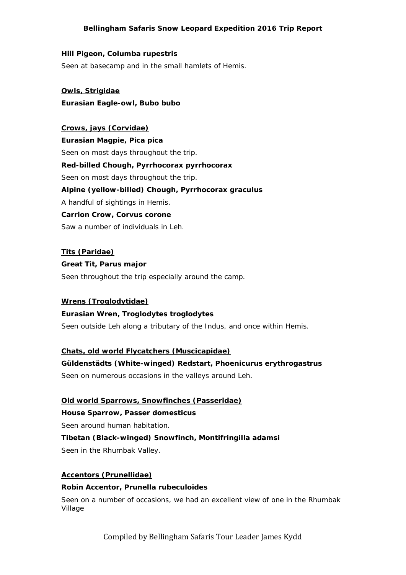#### **Hill Pigeon,** *Columba rupestris*

Seen at basecamp and in the small hamlets of Hemis.

**Owls,** *Strigidae*  **Eurasian Eagle-owl,** *Bubo bubo* 

#### **Crows, jays (Corvidae)**

**Eurasian Magpie,** *Pica pica* Seen on most days throughout the trip. **Red-billed Chough,** *Pyrrhocorax pyrrhocorax* Seen on most days throughout the trip. **Alpine (yellow-billed) Chough,** *Pyrrhocorax graculus* A handful of sightings in Hemis. **Carrion Crow,** *Corvus corone* Saw a number of individuals in Leh.

**Tits (Paridae) Great Tit,** *Parus major* Seen throughout the trip especially around the camp.

#### **Wrens (Troglodytidae)**

#### **Eurasian Wren,** *Troglodytes troglodytes*

Seen outside Leh along a tributary of the Indus, and once within Hemis.

#### **Chats, old world Flycatchers (Muscicapidae)**

#### **Güldenstädts (White-winged) Redstart,** *Phoenicurus erythrogastrus*

Seen on numerous occasions in the valleys around Leh.

#### **Old world Sparrows, Snowfinches (Passeridae)**

**House Sparrow,** *Passer domesticus*

Seen around human habitation.

**Tibetan (Black-winged) Snowfinch,** *Montifringilla adamsi* Seen in the Rhumbak Valley.

#### **Accentors (Prunellidae)**

#### **Robin Accentor,** *Prunella rubeculoides*

Seen on a number of occasions, we had an excellent view of one in the Rhumbak Village